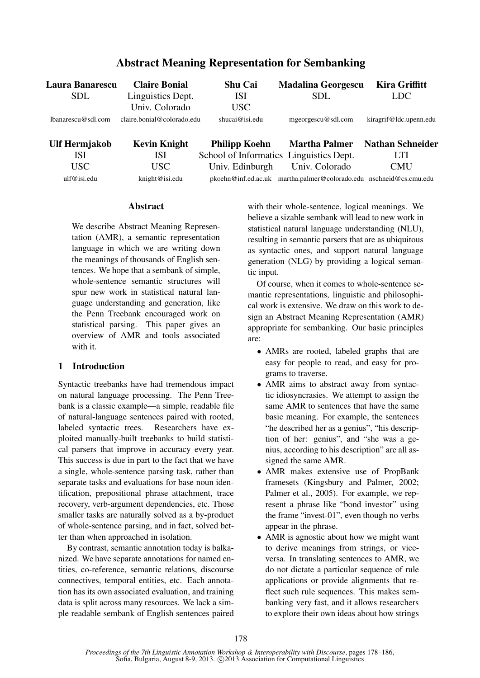| Laura Banarescu    | <b>Claire Bonial</b>       | <b>Shu Cai</b>       | <b>Madalina Georgescu</b>                      | <b>Kira Griffitt</b>    |
|--------------------|----------------------------|----------------------|------------------------------------------------|-------------------------|
| <b>SDL</b>         | Linguistics Dept.          | ISI                  | <b>SDL</b>                                     | LDC                     |
|                    | Univ. Colorado             | USC                  |                                                |                         |
| lbanarescu@sdl.com | claire.bonial@colorado.edu | shucai@isi.edu       | mgeorgescu@sdl.com                             | kiragrif@ldc.upenn.edu  |
| Ulf Hermjakob      | <b>Kevin Knight</b>        | <b>Philipp Koehn</b> | <b>Martha Palmer</b>                           | <b>Nathan Schneider</b> |
| <b>ISI</b>         | <b>ISI</b>                 |                      | School of Informatics Linguistics Dept.        | LTI                     |
| USC                | USC.                       | Univ. Edinburgh      | Univ. Colorado                                 | <b>CMU</b>              |
| ulf@isi.edu        | knight@isi.edu             | pkoehn@inf.ed.ac.uk  | martha.palmer@colorado.edu_nschneid@cs.cmu.edu |                         |

# Abstract Meaning Representation for Sembanking

## Abstract

We describe Abstract Meaning Representation (AMR), a semantic representation language in which we are writing down the meanings of thousands of English sentences. We hope that a sembank of simple, whole-sentence semantic structures will spur new work in statistical natural language understanding and generation, like the Penn Treebank encouraged work on statistical parsing. This paper gives an overview of AMR and tools associated with it.

## 1 Introduction

Syntactic treebanks have had tremendous impact on natural language processing. The Penn Treebank is a classic example—a simple, readable file of natural-language sentences paired with rooted, labeled syntactic trees. Researchers have exploited manually-built treebanks to build statistical parsers that improve in accuracy every year. This success is due in part to the fact that we have a single, whole-sentence parsing task, rather than separate tasks and evaluations for base noun identification, prepositional phrase attachment, trace recovery, verb-argument dependencies, etc. Those smaller tasks are naturally solved as a by-product of whole-sentence parsing, and in fact, solved better than when approached in isolation.

By contrast, semantic annotation today is balkanized. We have separate annotations for named entities, co-reference, semantic relations, discourse connectives, temporal entities, etc. Each annotation has its own associated evaluation, and training data is split across many resources. We lack a simple readable sembank of English sentences paired with their whole-sentence, logical meanings. We believe a sizable sembank will lead to new work in statistical natural language understanding (NLU), resulting in semantic parsers that are as ubiquitous as syntactic ones, and support natural language generation (NLG) by providing a logical semantic input.

Of course, when it comes to whole-sentence semantic representations, linguistic and philosophical work is extensive. We draw on this work to design an Abstract Meaning Representation (AMR) appropriate for sembanking. Our basic principles are:

- AMRs are rooted, labeled graphs that are easy for people to read, and easy for programs to traverse.
- AMR aims to abstract away from syntactic idiosyncrasies. We attempt to assign the same AMR to sentences that have the same basic meaning. For example, the sentences "he described her as a genius", "his description of her: genius", and "she was a genius, according to his description" are all assigned the same AMR.
- AMR makes extensive use of PropBank framesets (Kingsbury and Palmer, 2002; Palmer et al., 2005). For example, we represent a phrase like "bond investor" using the frame "invest-01", even though no verbs appear in the phrase.
- AMR is agnostic about how we might want to derive meanings from strings, or viceversa. In translating sentences to AMR, we do not dictate a particular sequence of rule applications or provide alignments that reflect such rule sequences. This makes sembanking very fast, and it allows researchers to explore their own ideas about how strings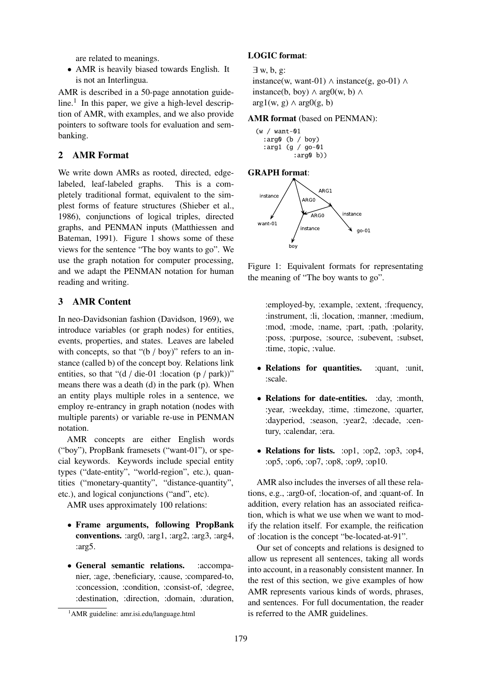are related to meanings.

• AMR is heavily biased towards English. It is not an Interlingua.

AMR is described in a 50-page annotation guideline.<sup>1</sup> In this paper, we give a high-level description of AMR, with examples, and we also provide pointers to software tools for evaluation and sembanking.

## 2 AMR Format

We write down AMRs as rooted, directed, edgelabeled, leaf-labeled graphs. This is a completely traditional format, equivalent to the simplest forms of feature structures (Shieber et al., 1986), conjunctions of logical triples, directed graphs, and PENMAN inputs (Matthiessen and Bateman, 1991). Figure 1 shows some of these views for the sentence "The boy wants to go". We use the graph notation for computer processing, and we adapt the PENMAN notation for human reading and writing.

## 3 AMR Content

In neo-Davidsonian fashion (Davidson, 1969), we introduce variables (or graph nodes) for entities, events, properties, and states. Leaves are labeled with concepts, so that " $(b / boy)$ " refers to an instance (called b) of the concept boy. Relations link entities, so that " $(d / die-01$  :location  $(p / park)$ " means there was a death (d) in the park (p). When an entity plays multiple roles in a sentence, we employ re-entrancy in graph notation (nodes with multiple parents) or variable re-use in PENMAN notation.

AMR concepts are either English words ("boy"), PropBank framesets ("want-01"), or special keywords. Keywords include special entity types ("date-entity", "world-region", etc.), quantities ("monetary-quantity", "distance-quantity", etc.), and logical conjunctions ("and", etc).

AMR uses approximately 100 relations:

- Frame arguments, following PropBank conventions. :arg0, :arg1, :arg2, :arg3, :arg4, :arg5.
- General semantic relations. :accompanier, :age, :beneficiary, :cause, :compared-to, :concession, :condition, :consist-of, :degree, :destination, :direction, :domain, :duration,

#### LOGIC format:

```
∃ w, b, g:
```
instance(w, want-01)  $\land$  instance(g, go-01)  $\land$ instance(b, boy)  $\land$  arg0(w, b)  $\land$  $arg1(w, g) \wedge arg0(g, b)$ 

#### AMR format (based on PENMAN):

```
(w / want-01
  :arg0 (b / boy)
  :arg1 (g / go-01
          :arg0 b))
```
#### GRAPH format:



Figure 1: Equivalent formats for representating the meaning of "The boy wants to go".

:employed-by, :example, :extent, :frequency, :instrument, :li, :location, :manner, :medium, :mod, :mode, :name, :part, :path, :polarity, :poss, :purpose, :source, :subevent, :subset, :time, :topic, :value.

- Relations for quantities. : cluant, :unit, :scale.
- Relations for date-entities. :day, :month, :year, :weekday, :time, :timezone, :quarter, :dayperiod, :season, :year2, :decade, :century, :calendar, :era.
- Relations for lists. :op1, :op2, :op3, :op4, :op5, :op6, :op7, :op8, :op9, :op10.

AMR also includes the inverses of all these relations, e.g., :arg0-of, :location-of, and :quant-of. In addition, every relation has an associated reification, which is what we use when we want to modify the relation itself. For example, the reification of :location is the concept "be-located-at-91".

Our set of concepts and relations is designed to allow us represent all sentences, taking all words into account, in a reasonably consistent manner. In the rest of this section, we give examples of how AMR represents various kinds of words, phrases, and sentences. For full documentation, the reader is referred to the AMR guidelines.

<sup>1</sup>AMR guideline: amr.isi.edu/language.html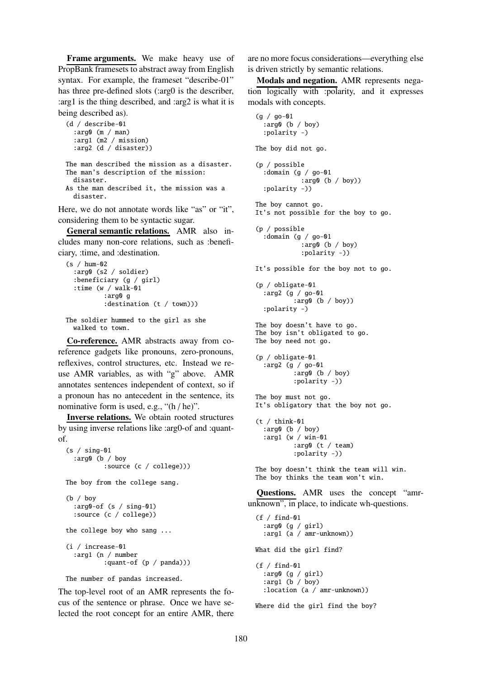Frame arguments. We make heavy use of PropBank framesets to abstract away from English syntax. For example, the frameset "describe-01" has three pre-defined slots (:arg0 is the describer, :arg1 is the thing described, and :arg2 is what it is being described as).

```
(d / describe-01
  :arg0 (m / man)
  :arg1 (m2 / mission)
  :arg2 (d / disaster))
The man described the mission as a disaster.
The man's description of the mission:
 disaster.
As the man described it, the mission was a
  disaster.
```
Here, we do not annotate words like "as" or "it". considering them to be syntactic sugar.

General semantic relations. AMR also includes many non-core relations, such as :beneficiary, :time, and :destination.

```
(s / hum-02
  :arg0 (s2 / soldier)
  :beneficiary (g / girl)
  :time (w / walk-01
          :arg0 g
          : destination (t / town)))
```
The soldier hummed to the girl as she walked to town.

Co-reference. AMR abstracts away from coreference gadgets like pronouns, zero-pronouns, reflexives, control structures, etc. Instead we reuse AMR variables, as with "g" above. AMR annotates sentences independent of context, so if a pronoun has no antecedent in the sentence, its nominative form is used, e.g., "(h / he)".

Inverse relations. We obtain rooted structures by using inverse relations like :arg0-of and :quantof.

```
(s / sing-01
  :arg0 (b / boy
          :source (c / college)))
The boy from the college sang.
(b / boy
  :arg0-of (s / sing-01)
  :source (c / college))
the college boy who sang ...
(i / increase-01
  :arg1 (n / number
          :quant-of (p / panda)))
The number of pandas increased.
```
The top-level root of an AMR represents the focus of the sentence or phrase. Once we have selected the root concept for an entire AMR, there are no more focus considerations—everything else is driven strictly by semantic relations.

Modals and negation. AMR represents negation logically with :polarity, and it expresses modals with concepts.

```
(g / go-01
    :arg0 (b / boy)
    :polarity -)
 The boy did not go.
  (p / possible
    :domain (g / go-01
              :arg0 (b / boy))
    :polarity -))
 The boy cannot go.
  It's not possible for the boy to go.
  (p / possible
    :domain (g / go-01
              :arg0 (b / boy)
              :polarity -))
 It's possible for the boy not to go.
  (p / obligate-01
    :arg2 (g / go-01
            :arg0 (b / boy))
    :polarity -)
  The boy doesn't have to go.
 The boy isn't obligated to go.
 The boy need not go.
  (p / obligate-01
    :arg2 (g / go-01
            :arg0 (b / boy)
            :polarity -))
  The boy must not go.
 It's obligatory that the boy not go.
  (t / think-01:arg0 (b / boy)
    :arg1 (w / win-01
            :arg0 (t / team)
            :polarity -))
 The boy doesn't think the team will win.
 The boy thinks the team won't win.
  Questions. AMR uses the concept "amr-
unknown", in place, to indicate wh-questions.
  (f / find_01:arg0 (g / girl)
    :arg1 (a / amr-unknown))
 What did the girl find?
  (f / find-01
    :arg0 (g / girl)
    :arg1 (b / boy)
    :location (a / amr-unknown))
```
Where did the girl find the boy?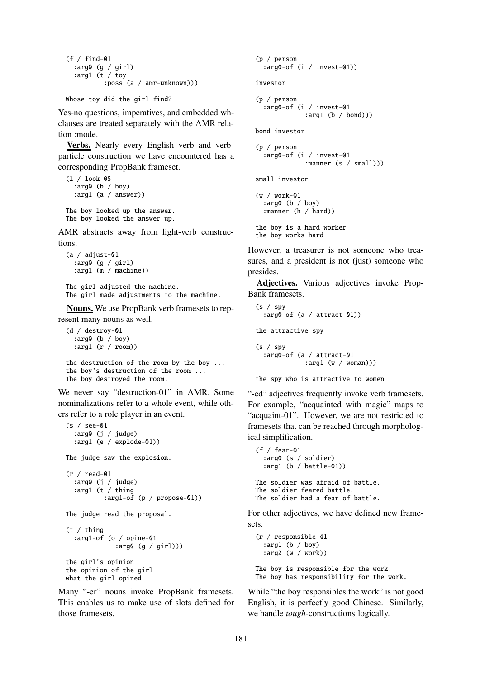```
(f / find-01):arg0 (g / girl)
  :arg1 (t / toy
          :poss (a / amr-unknown)))
```

```
Whose toy did the girl find?
```
Yes-no questions, imperatives, and embedded whclauses are treated separately with the AMR relation :mode.

Verbs. Nearly every English verb and verbparticle construction we have encountered has a corresponding PropBank frameset.

```
(l / look-05
  :arg0 (b / boy)
  :arg1 (a / answer))
The boy looked up the answer.
```
The boy looked the answer up.

AMR abstracts away from light-verb constructions.

```
(a / adjust-01
  :arg0 (g / girl)
  :arg1 (m / machine))
```
The girl adjusted the machine. The girl made adjustments to the machine.

Nouns. We use PropBank verb framesets to represent many nouns as well.

```
(d / destroy-01
  :arg0 (b / boy)
  :arg1 (r / room))
the destruction of the room by the boy ...
the boy's destruction of the room ...
The boy destroyed the room.
```
We never say "destruction-01" in AMR. Some nominalizations refer to a whole event, while others refer to a role player in an event.

```
(s / see-01
  :arg0 (j / judge)
  :arg1 (e / explode-01))
The judge saw the explosion.
(r / read-01
  :arg0 (j / judge)
  :arg1 (t / thing
          :arg1-of (p / propose-01))
The judge read the proposal.
(t / thing
  :arg1-of (o / opine-01
             :arg0 (g / girl)))
the girl's opinion
the opinion of the girl
what the girl opined
```
Many "-er" nouns invoke PropBank framesets. This enables us to make use of slots defined for those framesets.

```
(p / person
  :arg0-of (i / invest-01))
investor
(p / person
  :arg0-of (i / invest-01
             :arg1 (b / bond)))
bond investor
(p / person
  :arg0-of (i / invest-01
             :manner (s / small)))
small investor
(w / work-01
  :arg0 (b / boy)
  :manner (h / hard))
the boy is a hard worker
the boy works hard
```
However, a treasurer is not someone who treasures, and a president is not (just) someone who presides.

Adjectives. Various adjectives invoke Prop-Bank framesets.

```
(s / spy
  :arg0-of (a / attract-01))
the attractive spy
(s / spy):arg0-of (a / attract-01
             :arg1 (w / woman)))
```
the spy who is attractive to women

"-ed" adjectives frequently invoke verb framesets. For example, "acquainted with magic" maps to "acquaint-01". However, we are not restricted to framesets that can be reached through morphological simplification.

```
(f / fear-01
  :arg0 (s / soldier)
  :arg1 (b / battle-01))
The soldier was afraid of battle.
The soldier feared battle.
The soldier had a fear of battle.
```
For other adjectives, we have defined new framesets.

```
(r / responsible-41
  :arg1 (b / boy)
  :arg2 (w / work))
The boy is responsible for the work.
The boy has responsibility for the work.
```
While "the boy responsibles the work" is not good English, it is perfectly good Chinese. Similarly, we handle *tough*-constructions logically.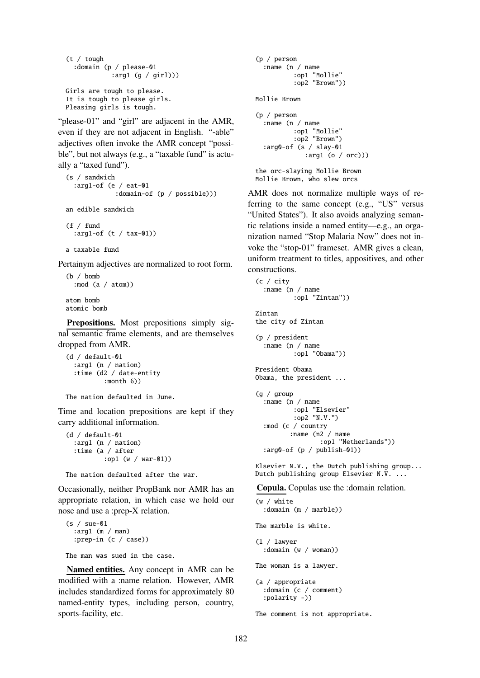```
(t / tough
  :domain (p / please-01
            :arg1 (g / girl)))
Girls are tough to please.
It is tough to please girls.
Pleasing girls is tough.
```
"please-01" and "girl" are adjacent in the AMR, even if they are not adjacent in English. "-able" adjectives often invoke the AMR concept "possible", but not always (e.g., a "taxable fund" is actually a "taxed fund").

```
(s / sandwich
  :arg1-of (e / eat-01
             :domain-of (p / possible)))
an edible sandwich
```

```
(f / fund
  :arg1-of (t / tax-01))
```
a taxable fund

Pertainym adjectives are normalized to root form.

```
(b / bomb
  :mod (a / atom))
atom bomb
atomic bomb
```
Prepositions. Most prepositions simply signal semantic frame elements, and are themselves dropped from AMR.

```
(d / default-01
  :arg1 (n / nation)
  :time (d2 / date-entity
          :month 6))
```

```
The nation defaulted in June.
```
Time and location prepositions are kept if they carry additional information.

```
(d / default-01
  :arg1 (n / nation)
  :time (a / after
          :op1 (w / war-01))
```
The nation defaulted after the war.

Occasionally, neither PropBank nor AMR has an appropriate relation, in which case we hold our nose and use a :prep-X relation.

```
(s / sue-01
  :arg1 (m / man)
  :prep-in (c / case))
```
The man was sued in the case.

Named entities. Any concept in AMR can be modified with a :name relation. However, AMR includes standardized forms for approximately 80 named-entity types, including person, country, sports-facility, etc.

```
(p / person
  :name (n / name
          :op1 "Mollie"
          :op2 "Brown"))
Mollie Brown
(p / person
  :name (n / name
          :op1 "Mollie"
          :op2 "Brown")
  :arg0-of (s / slay-01
             :arg1 (o / orc)))
the orc-slaying Mollie Brown
Mollie Brown, who slew orcs
```
AMR does not normalize multiple ways of referring to the same concept (e.g., "US" versus "United States"). It also avoids analyzing semantic relations inside a named entity—e.g., an organization named "Stop Malaria Now" does not invoke the "stop-01" frameset. AMR gives a clean, uniform treatment to titles, appositives, and other constructions.

```
(c / city
  :name (n / name
          :op1 "Zintan"))
Zintan
the city of Zintan
(p / president
  :name (n / name
          :op1 "Obama"))
President Obama
Obama, the president ...
(g / group
  :name (n / name
          :op1 "Elsevier"
          :op2 "N.V.")
  :mod (c / country
         :name (n2 / name
                 :op1 "Netherlands"))
  :arg0-of (p / publish-01))
```
Elsevier N.V., the Dutch publishing group... Dutch publishing group Elsevier N.V. ...

Copula. Copulas use the :domain relation.

```
(w / white
  :domain (m / marble))
The marble is white.
(l / lawyer
  :domain (w / woman))
The woman is a lawyer.
(a / appropriate
  :domain (c / comment)
  :polarity -))
```
The comment is not appropriate.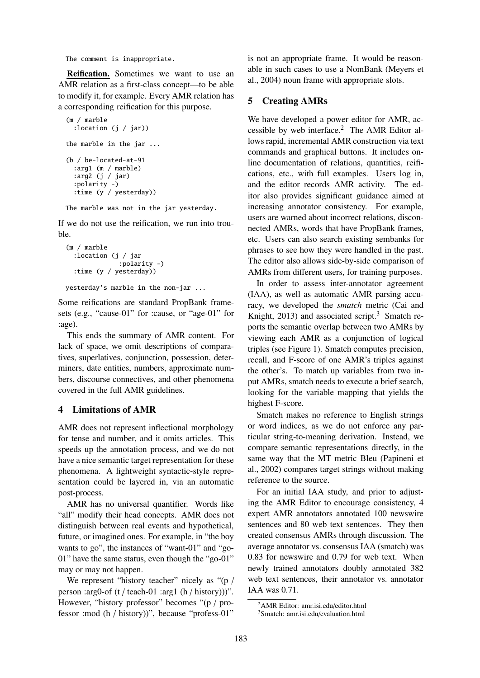The comment is inappropriate.

Reification. Sometimes we want to use an AMR relation as a first-class concept—to be able to modify it, for example. Every AMR relation has a corresponding reification for this purpose.

```
(m / marble
  :location (j / jar))
the marble in the jar ...
(b / be-located-at-91
  :arg1 (m / marble)
  :arg2 (j / jar)
  :polarity -)
  :time (y / yesterday))
```
The marble was not in the jar yesterday.

If we do not use the reification, we run into trouble.

```
(m / marble
  :location (j / jar
              :polarity -)
  :time (y / yesterday))
```
yesterday's marble in the non-jar ...

Some reifications are standard PropBank framesets (e.g., "cause-01" for :cause, or "age-01" for :age).

This ends the summary of AMR content. For lack of space, we omit descriptions of comparatives, superlatives, conjunction, possession, determiners, date entities, numbers, approximate numbers, discourse connectives, and other phenomena covered in the full AMR guidelines.

## 4 Limitations of AMR

AMR does not represent inflectional morphology for tense and number, and it omits articles. This speeds up the annotation process, and we do not have a nice semantic target representation for these phenomena. A lightweight syntactic-style representation could be layered in, via an automatic post-process.

AMR has no universal quantifier. Words like "all" modify their head concepts. AMR does not distinguish between real events and hypothetical, future, or imagined ones. For example, in "the boy wants to go", the instances of "want-01" and "go-01" have the same status, even though the "go-01" may or may not happen.

We represent "history teacher" nicely as "(p / person :arg0-of (t / teach-01 :arg1 (h / history))". However, "history professor" becomes "(p / professor :mod (h / history))", because "profess-01"

is not an appropriate frame. It would be reasonable in such cases to use a NomBank (Meyers et al., 2004) noun frame with appropriate slots.

## 5 Creating AMRs

We have developed a power editor for AMR, accessible by web interface.<sup>2</sup> The AMR Editor allows rapid, incremental AMR construction via text commands and graphical buttons. It includes online documentation of relations, quantities, reifications, etc., with full examples. Users log in, and the editor records AMR activity. The editor also provides significant guidance aimed at increasing annotator consistency. For example, users are warned about incorrect relations, disconnected AMRs, words that have PropBank frames, etc. Users can also search existing sembanks for phrases to see how they were handled in the past. The editor also allows side-by-side comparison of AMRs from different users, for training purposes.

In order to assess inter-annotator agreement (IAA), as well as automatic AMR parsing accuracy, we developed the *smatch* metric (Cai and Knight, 2013) and associated script.<sup>3</sup> Smatch reports the semantic overlap between two AMRs by viewing each AMR as a conjunction of logical triples (see Figure 1). Smatch computes precision, recall, and F-score of one AMR's triples against the other's. To match up variables from two input AMRs, smatch needs to execute a brief search, looking for the variable mapping that yields the highest F-score.

Smatch makes no reference to English strings or word indices, as we do not enforce any particular string-to-meaning derivation. Instead, we compare semantic representations directly, in the same way that the MT metric Bleu (Papineni et al., 2002) compares target strings without making reference to the source.

For an initial IAA study, and prior to adjusting the AMR Editor to encourage consistency, 4 expert AMR annotators annotated 100 newswire sentences and 80 web text sentences. They then created consensus AMRs through discussion. The average annotator vs. consensus IAA (smatch) was 0.83 for newswire and 0.79 for web text. When newly trained annotators doubly annotated 382 web text sentences, their annotator vs. annotator IAA was 0.71.

<sup>2</sup>AMR Editor: amr.isi.edu/editor.html

<sup>3</sup>Smatch: amr.isi.edu/evaluation.html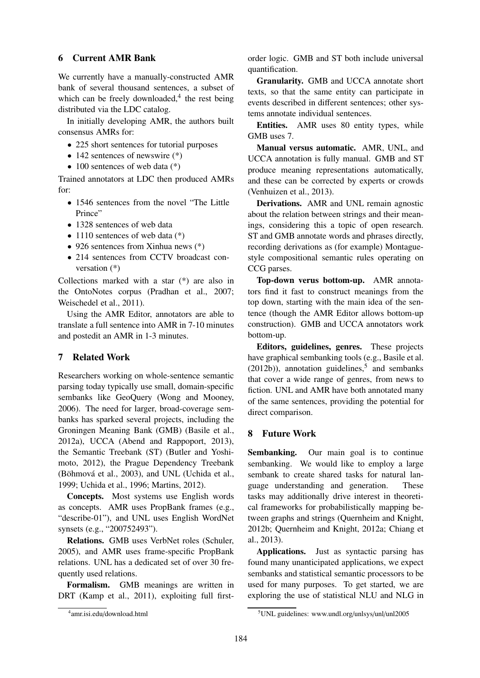#### 6 Current AMR Bank

We currently have a manually-constructed AMR bank of several thousand sentences, a subset of which can be freely downloaded, $4$  the rest being distributed via the LDC catalog.

In initially developing AMR, the authors built consensus AMRs for:

- 225 short sentences for tutorial purposes
- 142 sentences of newswire  $(*)$
- 100 sentences of web data  $(*)$

Trained annotators at LDC then produced AMRs for:

- 1546 sentences from the novel "The Little Prince"
- 1328 sentences of web data
- 1110 sentences of web data  $(*)$
- 926 sentences from Xinhua news  $(*)$
- 214 sentences from CCTV broadcast conversation (\*)

Collections marked with a star (\*) are also in the OntoNotes corpus (Pradhan et al., 2007; Weischedel et al., 2011).

Using the AMR Editor, annotators are able to translate a full sentence into AMR in 7-10 minutes and postedit an AMR in 1-3 minutes.

### 7 Related Work

Researchers working on whole-sentence semantic parsing today typically use small, domain-specific sembanks like GeoQuery (Wong and Mooney, 2006). The need for larger, broad-coverage sembanks has sparked several projects, including the Groningen Meaning Bank (GMB) (Basile et al., 2012a), UCCA (Abend and Rappoport, 2013), the Semantic Treebank (ST) (Butler and Yoshimoto, 2012), the Prague Dependency Treebank (Böhmová et al., 2003), and UNL (Uchida et al., 1999; Uchida et al., 1996; Martins, 2012).

Concepts. Most systems use English words as concepts. AMR uses PropBank frames (e.g., "describe-01"), and UNL uses English WordNet synsets (e.g., "200752493").

Relations. GMB uses VerbNet roles (Schuler, 2005), and AMR uses frame-specific PropBank relations. UNL has a dedicated set of over 30 frequently used relations.

Formalism. GMB meanings are written in DRT (Kamp et al., 2011), exploiting full firstorder logic. GMB and ST both include universal quantification.

Granularity. GMB and UCCA annotate short texts, so that the same entity can participate in events described in different sentences; other systems annotate individual sentences.

Entities. AMR uses 80 entity types, while GMB uses 7.

Manual versus automatic. AMR, UNL, and UCCA annotation is fully manual. GMB and ST produce meaning representations automatically, and these can be corrected by experts or crowds (Venhuizen et al., 2013).

Derivations. AMR and UNL remain agnostic about the relation between strings and their meanings, considering this a topic of open research. ST and GMB annotate words and phrases directly, recording derivations as (for example) Montaguestyle compositional semantic rules operating on CCG parses.

Top-down verus bottom-up. AMR annotators find it fast to construct meanings from the top down, starting with the main idea of the sentence (though the AMR Editor allows bottom-up construction). GMB and UCCA annotators work bottom-up.

Editors, guidelines, genres. These projects have graphical sembanking tools (e.g., Basile et al.  $(2012b)$ ), annotation guidelines,<sup>5</sup> and sembanks that cover a wide range of genres, from news to fiction. UNL and AMR have both annotated many of the same sentences, providing the potential for direct comparison.

#### 8 Future Work

Sembanking. Our main goal is to continue sembanking. We would like to employ a large sembank to create shared tasks for natural language understanding and generation. These tasks may additionally drive interest in theoretical frameworks for probabilistically mapping between graphs and strings (Quernheim and Knight, 2012b; Quernheim and Knight, 2012a; Chiang et al., 2013).

Applications. Just as syntactic parsing has found many unanticipated applications, we expect sembanks and statistical semantic processors to be used for many purposes. To get started, we are exploring the use of statistical NLU and NLG in

<sup>4</sup> amr.isi.edu/download.html

<sup>5</sup>UNL guidelines: www.undl.org/unlsys/unl/unl2005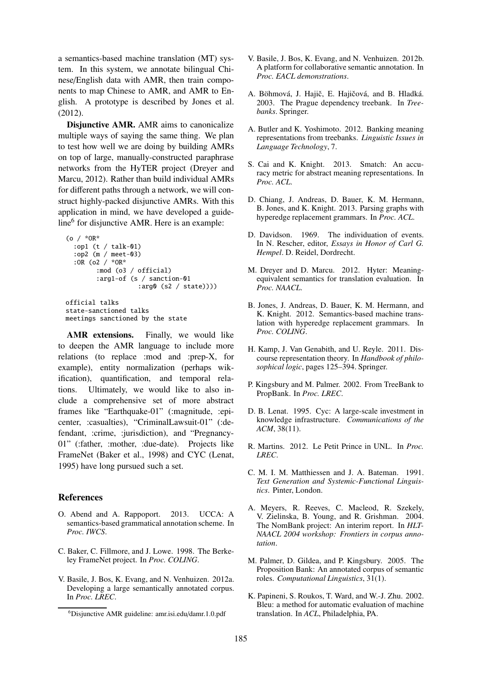a semantics-based machine translation (MT) system. In this system, we annotate bilingual Chinese/English data with AMR, then train components to map Chinese to AMR, and AMR to English. A prototype is described by Jones et al. (2012).

Disjunctive AMR. AMR aims to canonicalize multiple ways of saying the same thing. We plan to test how well we are doing by building AMRs on top of large, manually-constructed paraphrase networks from the HyTER project (Dreyer and Marcu, 2012). Rather than build individual AMRs for different paths through a network, we will construct highly-packed disjunctive AMRs. With this application in mind, we have developed a guideline<sup>6</sup> for disjunctive AMR. Here is an example:

```
(o / *OR*
  :op1 (t / talk-01)
  :op2 (m / meet-03)
  :OR (o2 / *OR*
        :mod (o3 / official)
        :arg1-of (s / sanction-01
                   :arg0 (s2 / state))))
official talks
state-sanctioned talks
meetings sanctioned by the state
```
AMR extensions. Finally, we would like to deepen the AMR language to include more relations (to replace :mod and :prep-X, for example), entity normalization (perhaps wikification), quantification, and temporal relations. Ultimately, we would like to also include a comprehensive set of more abstract frames like "Earthquake-01" (:magnitude, :epicenter, :casualties), "CriminalLawsuit-01" (:defendant, :crime, :jurisdiction), and "Pregnancy-01" (:father, :mother, :due-date). Projects like FrameNet (Baker et al., 1998) and CYC (Lenat, 1995) have long pursued such a set.

## References

- O. Abend and A. Rappoport. 2013. UCCA: A semantics-based grammatical annotation scheme. In *Proc. IWCS*.
- C. Baker, C. Fillmore, and J. Lowe. 1998. The Berkeley FrameNet project. In *Proc. COLING*.
- V. Basile, J. Bos, K. Evang, and N. Venhuizen. 2012a. Developing a large semantically annotated corpus. In *Proc. LREC*.
- V. Basile, J. Bos, K. Evang, and N. Venhuizen. 2012b. A platform for collaborative semantic annotation. In *Proc. EACL demonstrations*.
- A. Böhmová, J. Hajič, E. Hajičová, and B. Hladká. 2003. The Prague dependency treebank. In *Treebanks*. Springer.
- A. Butler and K. Yoshimoto. 2012. Banking meaning representations from treebanks. *Linguistic Issues in Language Technology*, 7.
- S. Cai and K. Knight. 2013. Smatch: An accuracy metric for abstract meaning representations. In *Proc. ACL*.
- D. Chiang, J. Andreas, D. Bauer, K. M. Hermann, B. Jones, and K. Knight. 2013. Parsing graphs with hyperedge replacement grammars. In *Proc. ACL*.
- D. Davidson. 1969. The individuation of events. In N. Rescher, editor, *Essays in Honor of Carl G. Hempel*. D. Reidel, Dordrecht.
- M. Dreyer and D. Marcu. 2012. Hyter: Meaningequivalent semantics for translation evaluation. In *Proc. NAACL*.
- B. Jones, J. Andreas, D. Bauer, K. M. Hermann, and K. Knight. 2012. Semantics-based machine translation with hyperedge replacement grammars. In *Proc. COLING*.
- H. Kamp, J. Van Genabith, and U. Reyle. 2011. Discourse representation theory. In *Handbook of philosophical logic*, pages 125–394. Springer.
- P. Kingsbury and M. Palmer. 2002. From TreeBank to PropBank. In *Proc. LREC*.
- D. B. Lenat. 1995. Cyc: A large-scale investment in knowledge infrastructure. *Communications of the ACM*, 38(11).
- R. Martins. 2012. Le Petit Prince in UNL. In *Proc. LREC*.
- C. M. I. M. Matthiessen and J. A. Bateman. 1991. *Text Generation and Systemic-Functional Linguistics*. Pinter, London.
- A. Meyers, R. Reeves, C. Macleod, R. Szekely, V. Zielinska, B. Young, and R. Grishman. 2004. The NomBank project: An interim report. In *HLT-NAACL 2004 workshop: Frontiers in corpus annotation*.
- M. Palmer, D. Gildea, and P. Kingsbury. 2005. The Proposition Bank: An annotated corpus of semantic roles. *Computational Linguistics*, 31(1).
- K. Papineni, S. Roukos, T. Ward, and W.-J. Zhu. 2002. Bleu: a method for automatic evaluation of machine translation. In *ACL*, Philadelphia, PA.

<sup>6</sup>Disjunctive AMR guideline: amr.isi.edu/damr.1.0.pdf